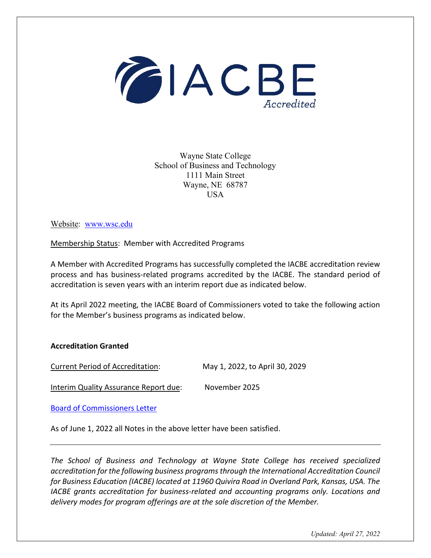

Wayne State College School of Business and Technology 1111 Main Street Wayne, NE 68787 USA

Website: [www.wsc.edu](http://www.wsc.edu/)

Membership Status: Member with Accredited Programs

A Member with Accredited Programs has successfully completed the IACBE accreditation review process and has business-related programs accredited by the IACBE. The standard period of accreditation is seven years with an interim report due as indicated below.

At its April 2022 meeting, the IACBE Board of Commissioners voted to take the following action for the Member's business programs as indicated below.

## **Accreditation Granted**

Current Period of Accreditation: May 1, 2022, to April 30, 2029

Interim Quality Assurance Report due: November 2025

[Board of Commissioners Letter](https://iacbe.org/memberpdf/Wayne-State-College-BOCDecisionLetter.pdf)

As of June 1, 2022 all Notes in the above letter have been satisfied.

*The School of Business and Technology at Wayne State College has received specialized accreditation for the following business programs through the International Accreditation Council for Business Education (IACBE) located at 11960 Quivira Road in Overland Park, Kansas, USA. The IACBE grants accreditation for business-related and accounting programs only. Locations and delivery modes for program offerings are at the sole discretion of the Member.*

*Updated: April 27, 2022*